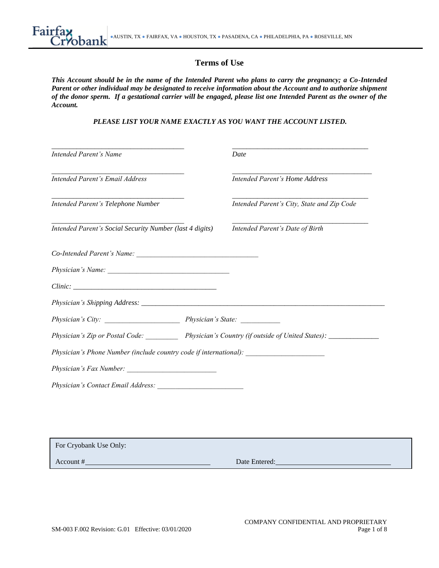# **Terms of Use**

*This Account should be in the name of the Intended Parent who plans to carry the pregnancy; a Co-Intended Parent or other individual may be designated to receive information about the Account and to authorize shipment of the donor sperm. If a gestational carrier will be engaged, please list one Intended Parent as the owner of the Account.*

*PLEASE LIST YOUR NAME EXACTLY AS YOU WANT THE ACCOUNT LISTED.*

| Intended Parent's Name                                                            | Date                                                                                             |
|-----------------------------------------------------------------------------------|--------------------------------------------------------------------------------------------------|
| Intended Parent's Email Address                                                   | <b>Intended Parent's Home Address</b>                                                            |
| Intended Parent's Telephone Number                                                | Intended Parent's City, State and Zip Code                                                       |
| Intended Parent's Social Security Number (last 4 digits)                          | Intended Parent's Date of Birth                                                                  |
|                                                                                   |                                                                                                  |
|                                                                                   |                                                                                                  |
|                                                                                   |                                                                                                  |
|                                                                                   |                                                                                                  |
|                                                                                   |                                                                                                  |
|                                                                                   |                                                                                                  |
|                                                                                   | Physician's Zip or Postal Code: Physician's Country (if outside of United States): _____________ |
|                                                                                   |                                                                                                  |
| Physician's Phone Number (include country code if international): _______________ |                                                                                                  |

| For Cryobank Use Only: |               |
|------------------------|---------------|
| Account #              | Date Entered: |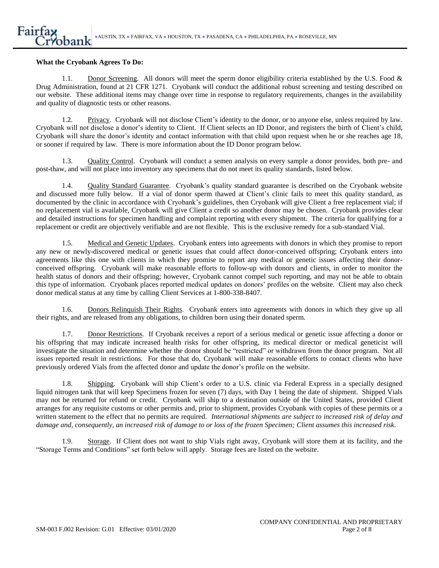### **What the Cryobank Agrees To Do:**

1.1. Donor Screening*.* All donors will meet the sperm donor eligibility criteria established by the U.S. Food & Drug Administration, found at 21 CFR 1271. Cryobank will conduct the additional robust screening and testing described on our website. These additional items may change over time in response to regulatory requirements, changes in the availability and quality of diagnostic tests or other reasons.

1.2. Privacy. Cryobank will not disclose Client's identity to the donor, or to anyone else, unless required by law. Cryobank will not disclose a donor's identity to Client. If Client selects an ID Donor, and registers the birth of Client's child, Cryobank will share the donor's identity and contact information with that child upon request when he or she reaches age 18, or sooner if required by law. There is more information about the ID Donor program below.

1.3. Quality Control. Cryobank will conduct a semen analysis on every sample a donor provides, both pre- and post-thaw, and will not place into inventory any specimens that do not meet its quality standards, listed below.

1.4. Quality Standard Guarantee. Cryobank's quality standard guarantee is described on the Cryobank website and discussed more fully below. If a vial of donor sperm thawed at Client's clinic fails to meet this quality standard, as documented by the clinic in accordance with Cryobank's guidelines, then Cryobank will give Client a free replacement vial; if no replacement vial is available, Cryobank will give Client a credit so another donor may be chosen. Cryobank provides clear and detailed instructions for specimen handling and complaint reporting with every shipment. The criteria for qualifying for a replacement or credit are objectively verifiable and are not flexible. This is the exclusive remedy for a sub-standard Vial.

1.5. Medical and Genetic Updates. Cryobank enters into agreements with donors in which they promise to report any new or newly-discovered medical or genetic issues that could affect donor-conceived offspring; Cryobank enters into agreements like this one with clients in which they promise to report any medical or genetic issues affecting their donorconceived offspring. Cryobank will make reasonable efforts to follow-up with donors and clients, in order to monitor the health status of donors and their offspring; however, Cryobank cannot compel such reporting, and may not be able to obtain this type of information. Cryobank places reported medical updates on donors' profiles on the website. Client may also check donor medical status at any time by calling Client Services at 1-800-338-8407.

1.6. Donors Relinquish Their Rights. Cryobank enters into agreements with donors in which they give up all their rights, and are released from any obligations, to children born using their donated sperm.

1.7. Donor Restrictions. If Cryobank receives a report of a serious medical or genetic issue affecting a donor or his offspring that may indicate increased health risks for other offspring, its medical director or medical geneticist will investigate the situation and determine whether the donor should be "restricted" or withdrawn from the donor program. Not all issues reported result in restrictions. For those that do, Cryobank will make reasonable efforts to contact clients who have previously ordered Vials from the affected donor and update the donor's profile on the website.

1.8. Shipping. Cryobank will ship Client's order to a U.S. clinic via Federal Express in a specially designed liquid nitrogen tank that will keep Specimens frozen for seven (7) days, with Day 1 being the date of shipment. Shipped Vials may not be returned for refund or credit. Cryobank will ship to a destination outside of the United States, provided Client arranges for any requisite customs or other permits and, prior to shipment, provides Cryobank with copies of these permits or a written statement to the effect that no permits are required. *International shipments are subject to increased risk of delay and damage and, consequently, an increased risk of damage to or loss of the frozen Specimen; Client assumes this increased risk*.

1.9. Storage. If Client does not want to ship Vials right away, Cryobank will store them at its facility, and the "Storage Terms and Conditions" set forth below will apply. Storage fees are listed on the website.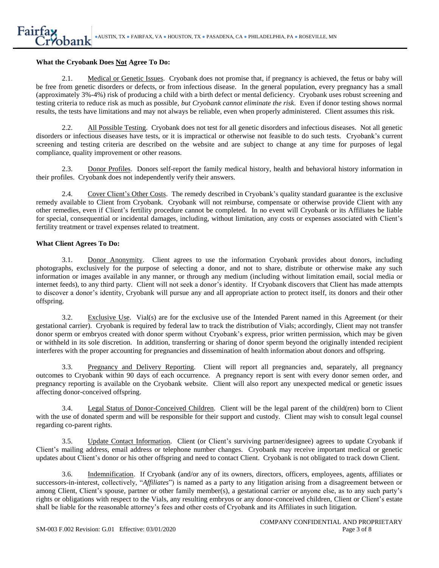### **What the Cryobank Does Not Agree To Do:**

2.1. Medical or Genetic Issues. Cryobank does not promise that, if pregnancy is achieved, the fetus or baby will be free from genetic disorders or defects, or from infectious disease. In the general population, every pregnancy has a small (approximately 3%-4%) risk of producing a child with a birth defect or mental deficiency. Cryobank uses robust screening and testing criteria to reduce risk as much as possible, *but Cryobank cannot eliminate the risk*. Even if donor testing shows normal results, the tests have limitations and may not always be reliable, even when properly administered. Client assumes this risk.

2.2. All Possible Testing. Cryobank does not test for all genetic disorders and infectious diseases. Not all genetic disorders or infectious diseases have tests, or it is impractical or otherwise not feasible to do such tests. Cryobank's current screening and testing criteria are described on the website and are subject to change at any time for purposes of legal compliance, quality improvement or other reasons.

2.3. Donor Profiles. Donors self-report the family medical history, health and behavioral history information in their profiles. Cryobank does not independently verify their answers.

2.4. Cover Client's Other Costs. The remedy described in Cryobank's quality standard guarantee is the exclusive remedy available to Client from Cryobank. Cryobank will not reimburse, compensate or otherwise provide Client with any other remedies, even if Client's fertility procedure cannot be completed. In no event will Cryobank or its Affiliates be liable for special, consequential or incidental damages, including, without limitation, any costs or expenses associated with Client's fertility treatment or travel expenses related to treatment.

### **What Client Agrees To Do:**

3.1. Donor Anonymity. Client agrees to use the information Cryobank provides about donors, including photographs, exclusively for the purpose of selecting a donor, and not to share, distribute or otherwise make any such information or images available in any manner, or through any medium (including without limitation email, social media or internet feeds), to any third party. Client will not seek a donor's identity. If Cryobank discovers that Client has made attempts to discover a donor's identity, Cryobank will pursue any and all appropriate action to protect itself, its donors and their other offspring.

3.2. Exclusive Use. Vial(s) are for the exclusive use of the Intended Parent named in this Agreement (or their gestational carrier). Cryobank is required by federal law to track the distribution of Vials; accordingly, Client may not transfer donor sperm or embryos created with donor sperm without Cryobank's express, prior written permission, which may be given or withheld in its sole discretion. In addition, transferring or sharing of donor sperm beyond the originally intended recipient interferes with the proper accounting for pregnancies and dissemination of health information about donors and offspring.

3.3. Pregnancy and Delivery Reporting. Client will report all pregnancies and, separately, all pregnancy outcomes to Cryobank within 90 days of each occurrence. A pregnancy report is sent with every donor semen order, and pregnancy reporting is available on the Cryobank website. Client will also report any unexpected medical or genetic issues affecting donor-conceived offspring.

3.4. Legal Status of Donor-Conceived Children. Client will be the legal parent of the child(ren) born to Client with the use of donated sperm and will be responsible for their support and custody. Client may wish to consult legal counsel regarding co-parent rights.

3.5. Update Contact Information. Client (or Client's surviving partner/designee) agrees to update Cryobank if Client's mailing address, email address or telephone number changes. Cryobank may receive important medical or genetic updates about Client's donor or his other offspring and need to contact Client. Cryobank is not obligated to track down Client.

3.6. Indemnification. If Cryobank (and/or any of its owners, directors, officers, employees, agents, affiliates or successors-in-interest, collectively, "*Affiliates*") is named as a party to any litigation arising from a disagreement between or among Client, Client's spouse, partner or other family member(s), a gestational carrier or anyone else, as to any such party's rights or obligations with respect to the Vials, any resulting embryos or any donor-conceived children, Client or Client's estate shall be liable for the reasonable attorney's fees and other costs of Cryobank and its Affiliates in such litigation.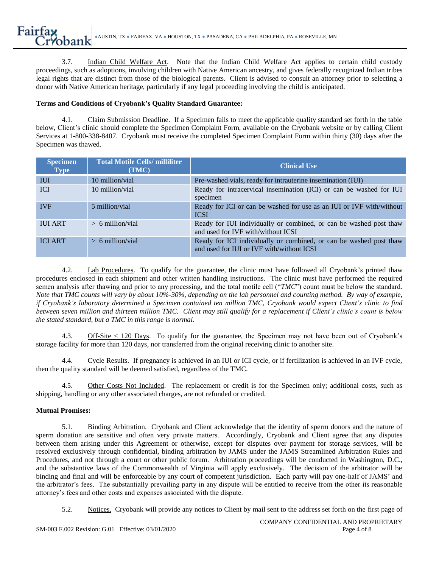3.7. Indian Child Welfare Act. Note that the Indian Child Welfare Act applies to certain child custody proceedings, such as adoptions, involving children with Native American ancestry, and gives federally recognized Indian tribes legal rights that are distinct from those of the biological parents. Client is advised to consult an attorney prior to selecting a donor with Native American heritage, particularly if any legal proceeding involving the child is anticipated.

## **Terms and Conditions of Cryobank's Quality Standard Guarantee:**

4.1. Claim Submission Deadline. If a Specimen fails to meet the applicable quality standard set forth in the table below, Client's clinic should complete the Specimen Complaint Form, available on the Cryobank website or by calling Client Services at 1-800-338-8407. Cryobank must receive the completed Specimen Complaint Form within thirty (30) days after the Specimen was thawed.

| <b>Specimen</b><br><b>Type</b> | <b>Total Motile Cells/ milliliter</b><br>(TMC) | <b>Clinical Use</b>                                                                                             |
|--------------------------------|------------------------------------------------|-----------------------------------------------------------------------------------------------------------------|
| <b>IUI</b>                     | 10 million/vial                                | Pre-washed vials, ready for intrauterine insemination (IUI)                                                     |
| <b>ICI</b>                     | 10 million/vial                                | Ready for intracervical insemination (ICI) or can be washed for IUI<br>specimen                                 |
| <b>IVF</b>                     | 5 million/vial                                 | Ready for ICI or can be washed for use as an IUI or IVF with/without<br><b>ICSI</b>                             |
| <b>IUI ART</b>                 | $> 6$ million/vial                             | Ready for IUI individually or combined, or can be washed post thaw<br>and used for IVF with/without ICSI        |
| <b>ICI ART</b>                 | $> 6$ million/vial                             | Ready for ICI individually or combined, or can be washed post thaw<br>and used for IUI or IVF with/without ICSI |

4.2. Lab Procedures. To qualify for the guarantee, the clinic must have followed all Cryobank's printed thaw procedures enclosed in each shipment and other written handling instructions. The clinic must have performed the required semen analysis after thawing and prior to any processing, and the total motile cell ("*TMC*") count must be below the standard. *Note that TMC counts will vary by about 10%-30%, depending on the lab personnel and counting method. By way of example, if Cryobank's laboratory determined a Specimen contained ten million TMC, Cryobank would expect Client's clinic to find between seven million and thirteen million TMC. Client may still qualify for a replacement if Client's clinic's count is below the stated standard, but a TMC in this range is normal.*

4.3. Off-Site < 120 Days. To qualify for the guarantee, the Specimen may not have been out of Cryobank's storage facility for more than 120 days, nor transferred from the original receiving clinic to another site.

4.4. Cycle Results. If pregnancy is achieved in an IUI or ICI cycle, or if fertilization is achieved in an IVF cycle, then the quality standard will be deemed satisfied, regardless of the TMC.

4.5. Other Costs Not Included. The replacement or credit is for the Specimen only; additional costs, such as shipping, handling or any other associated charges, are not refunded or credited.

## **Mutual Promises:**

5.1. Binding Arbitration. Cryobank and Client acknowledge that the identity of sperm donors and the nature of sperm donation are sensitive and often very private matters. Accordingly, Cryobank and Client agree that any disputes between them arising under this Agreement or otherwise, except for disputes over payment for storage services, will be resolved exclusively through confidential, binding arbitration by JAMS under the JAMS Streamlined Arbitration Rules and Procedures, and not through a court or other public forum. Arbitration proceedings will be conducted in Washington, D.C., and the substantive laws of the Commonwealth of Virginia will apply exclusively. The decision of the arbitrator will be binding and final and will be enforceable by any court of competent jurisdiction. Each party will pay one-half of JAMS' and the arbitrator's fees. The substantially prevailing party in any dispute will be entitled to receive from the other its reasonable attorney's fees and other costs and expenses associated with the dispute.

5.2. Notices. Cryobank will provide any notices to Client by mail sent to the address set forth on the first page of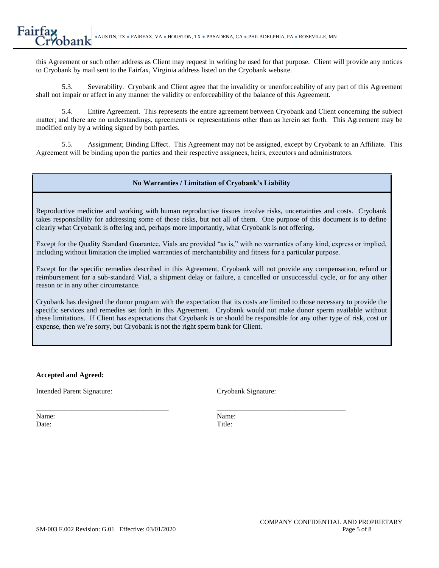this Agreement or such other address as Client may request in writing be used for that purpose. Client will provide any notices to Cryobank by mail sent to the Fairfax, Virginia address listed on the Cryobank website.

5.3. Severability. Cryobank and Client agree that the invalidity or unenforceability of any part of this Agreement shall not impair or affect in any manner the validity or enforceability of the balance of this Agreement.

5.4. Entire Agreement. This represents the entire agreement between Cryobank and Client concerning the subject matter; and there are no understandings, agreements or representations other than as herein set forth. This Agreement may be modified only by a writing signed by both parties.

5.5. Assignment; Binding Effect. This Agreement may not be assigned, except by Cryobank to an Affiliate. This Agreement will be binding upon the parties and their respective assignees, heirs, executors and administrators.

## **No Warranties / Limitation of Cryobank's Liability**

Reproductive medicine and working with human reproductive tissues involve risks, uncertainties and costs. Cryobank takes responsibility for addressing some of those risks, but not all of them. One purpose of this document is to define clearly what Cryobank is offering and, perhaps more importantly, what Cryobank is not offering.

Except for the Quality Standard Guarantee, Vials are provided "as is," with no warranties of any kind, express or implied, including without limitation the implied warranties of merchantability and fitness for a particular purpose.

Except for the specific remedies described in this Agreement, Cryobank will not provide any compensation, refund or reimbursement for a sub-standard Vial, a shipment delay or failure, a cancelled or unsuccessful cycle, or for any other reason or in any other circumstance.

Cryobank has designed the donor program with the expectation that its costs are limited to those necessary to provide the specific services and remedies set forth in this Agreement. Cryobank would not make donor sperm available without these limitations. If Client has expectations that Cryobank is or should be responsible for any other type of risk, cost or expense, then we're sorry, but Cryobank is not the right sperm bank for Client.

## **Accepted and Agreed:**

Intended Parent Signature: Cryobank Signature:

Date: Title:

\_\_\_\_\_\_\_\_\_\_\_\_\_\_\_\_\_\_\_\_\_\_\_\_\_\_\_\_\_\_\_\_\_\_\_\_\_ \_\_\_\_\_\_\_\_\_\_\_\_\_\_\_\_\_\_\_\_\_\_\_\_\_\_\_\_\_\_\_\_\_\_\_\_ Name: Name: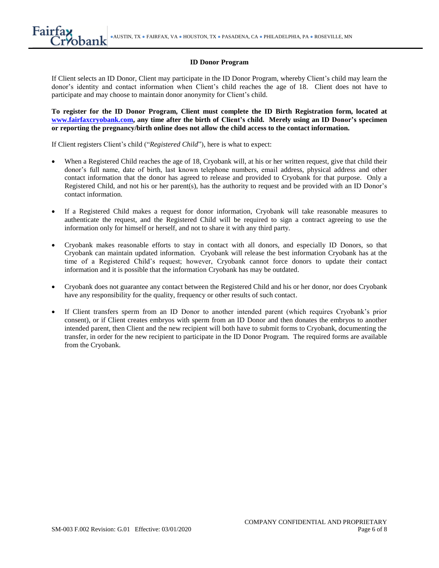### **ID Donor Program**

If Client selects an ID Donor, Client may participate in the ID Donor Program, whereby Client's child may learn the donor's identity and contact information when Client's child reaches the age of 18. Client does not have to participate and may choose to maintain donor anonymity for Client's child.

**To register for the ID Donor Program, Client must complete the ID Birth Registration form, located at [www.fairfaxcryobank.com,](http://www.fairfaxcryobank.com/) any time after the birth of Client's child. Merely using an ID Donor's specimen or reporting the pregnancy/birth online does not allow the child access to the contact information.**

If Client registers Client's child ("*Registered Child*"), here is what to expect:

- When a Registered Child reaches the age of 18, Cryobank will, at his or her written request, give that child their donor's full name, date of birth, last known telephone numbers, email address, physical address and other contact information that the donor has agreed to release and provided to Cryobank for that purpose. Only a Registered Child, and not his or her parent(s), has the authority to request and be provided with an ID Donor's contact information.
- If a Registered Child makes a request for donor information, Cryobank will take reasonable measures to authenticate the request, and the Registered Child will be required to sign a contract agreeing to use the information only for himself or herself, and not to share it with any third party.
- Cryobank makes reasonable efforts to stay in contact with all donors, and especially ID Donors, so that Cryobank can maintain updated information. Cryobank will release the best information Cryobank has at the time of a Registered Child's request; however, Cryobank cannot force donors to update their contact information and it is possible that the information Cryobank has may be outdated.
- Cryobank does not guarantee any contact between the Registered Child and his or her donor, nor does Cryobank have any responsibility for the quality, frequency or other results of such contact.
- If Client transfers sperm from an ID Donor to another intended parent (which requires Cryobank's prior consent), or if Client creates embryos with sperm from an ID Donor and then donates the embryos to another intended parent, then Client and the new recipient will both have to submit forms to Cryobank, documenting the transfer, in order for the new recipient to participate in the ID Donor Program. The required forms are available from the Cryobank.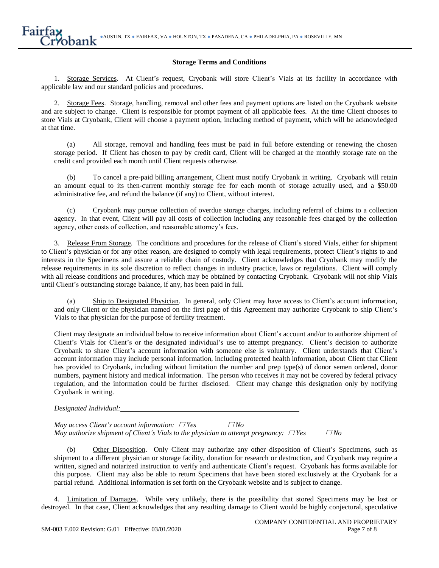### **Storage Terms and Conditions**

1. Storage Services. At Client's request, Cryobank will store Client's Vials at its facility in accordance with applicable law and our standard policies and procedures.

2. Storage Fees. Storage, handling, removal and other fees and payment options are listed on the Cryobank website and are subject to change. Client is responsible for prompt payment of all applicable fees. At the time Client chooses to store Vials at Cryobank, Client will choose a payment option, including method of payment, which will be acknowledged at that time.

(a) All storage, removal and handling fees must be paid in full before extending or renewing the chosen storage period. If Client has chosen to pay by credit card, Client will be charged at the monthly storage rate on the credit card provided each month until Client requests otherwise.

(b) To cancel a pre-paid billing arrangement, Client must notify Cryobank in writing. Cryobank will retain an amount equal to its then-current monthly storage fee for each month of storage actually used, and a \$50.00 administrative fee, and refund the balance (if any) to Client, without interest.

(c) Cryobank may pursue collection of overdue storage charges, including referral of claims to a collection agency. In that event, Client will pay all costs of collection including any reasonable fees charged by the collection agency, other costs of collection, and reasonable attorney's fees.

3. Release From Storage. The conditions and procedures for the release of Client's stored Vials, either for shipment to Client's physician or for any other reason, are designed to comply with legal requirements, protect Client's rights to and interests in the Specimens and assure a reliable chain of custody. Client acknowledges that Cryobank may modify the release requirements in its sole discretion to reflect changes in industry practice, laws or regulations. Client will comply with all release conditions and procedures, which may be obtained by contacting Cryobank. Cryobank will not ship Vials until Client's outstanding storage balance, if any, has been paid in full.

(a) Ship to Designated Physician. In general, only Client may have access to Client's account information, and only Client or the physician named on the first page of this Agreement may authorize Cryobank to ship Client's Vials to that physician for the purpose of fertility treatment.

Client may designate an individual below to receive information about Client's account and/or to authorize shipment of Client's Vials for Client's or the designated individual's use to attempt pregnancy. Client's decision to authorize Cryobank to share Client's account information with someone else is voluntary. Client understands that Client's account information may include personal information, including protected health information, about Client that Client has provided to Cryobank, including without limitation the number and prep type(s) of donor semen ordered, donor numbers, payment history and medical information. The person who receives it may not be covered by federal privacy regulation, and the information could be further disclosed. Client may change this designation only by notifying Cryobank in writing.

*Designated Individual:*

*May access Client's account information: Yes No May authorize shipment of Client's Vials to the physician to attempt pregnancy:*  $\Box$  Yes  $\Box$  No

(b) Other Disposition. Only Client may authorize any other disposition of Client's Specimens, such as shipment to a different physician or storage facility, donation for research or destruction, and Cryobank may require a written, signed and notarized instruction to verify and authenticate Client's request. Cryobank has forms available for this purpose. Client may also be able to return Specimens that have been stored exclusively at the Cryobank for a partial refund. Additional information is set forth on the Cryobank website and is subject to change.

4. Limitation of Damages. While very unlikely, there is the possibility that stored Specimens may be lost or destroyed. In that case, Client acknowledges that any resulting damage to Client would be highly conjectural, speculative